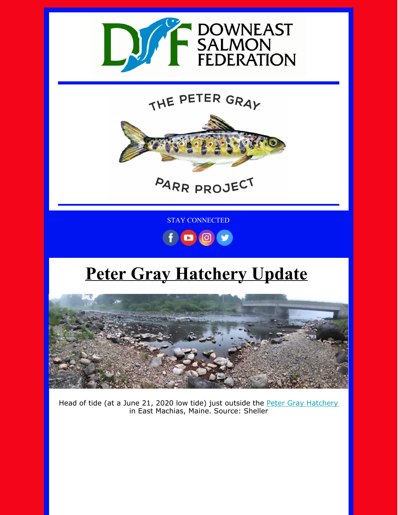

THE PETER GRAY



PARR PROJECT

STAY CONNECTED



## **Peter Gray Hatchery Update**



Head of tide (at a June 21, 2020 low tide) just outside the Peter Gray [Hatchery](https://mainesalmonrivers.org/parr-project/peter-gray-parr-project/) in East Machias, Maine. Source: Sheller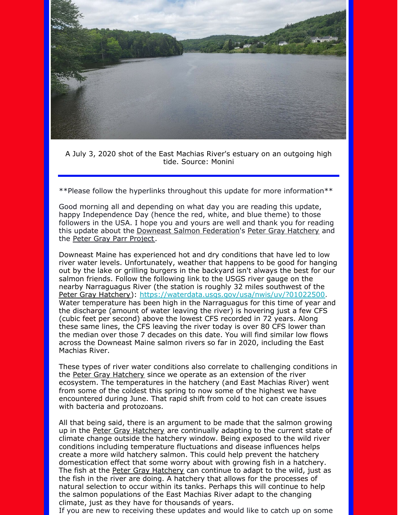

A July 3, 2020 shot of the East Machias River's estuary on an outgoing high tide. Source: Monini

\*\*Please follow the hyperlinks throughout this update for more information\*\*

Good morning all and depending on what day you are reading this update, happy Independence Day (hence the red, white, and blue theme) to those followers in the USA. I hope you and yours are well and thank you for reading this update about the Downeast Salmon [Federation](https://mainesalmonrivers.org/)'s Peter Gray [Hatchery](https://mainesalmonrivers.org/parr-project/peter-gray-parr-project/) and the Peter Gray Parr [Project](https://mainesalmonrivers.org/parr-project/peter-gray-parr-project/).

Downeast Maine has experienced hot and dry conditions that have led to low river water levels. Unfortunately, weather that happens to be good for hanging out by the lake or grilling burgers in the backyard isn't always the best for our salmon friends. Follow the following link to the USGS river gauge on the nearby Narraguagus River (the station is roughly 32 miles southwest of the Peter Gray [Hatchery](https://mainesalmonrivers.org/parr-project/peter-gray-parr-project/)): <https://waterdata.usgs.gov/usa/nwis/uv/?01022500>. Water temperature has been high in the Narraguagus for this time of year and the discharge (amount of water leaving the river) is hovering just a few CFS (cubic feet per second) above the lowest CFS recorded in 72 years. Along these same lines, the CFS leaving the river today is over 80 CFS lower than the median over those 7 decades on this date. You will find similar low flows across the Downeast Maine salmon rivers so far in 2020, including the East Machias River.

These types of river water conditions also correlate to challenging conditions in the Peter Gray [Hatchery](https://mainesalmonrivers.org/parr-project/peter-gray-parr-project/) since we operate as an extension of the river ecosystem. The temperatures in the hatchery (and East Machias River) went from some of the coldest this spring to now some of the highest we have encountered during June. That rapid shift from cold to hot can create issues with bacteria and protozoans.

All that being said, there is an argument to be made that the salmon growing up in the Peter Gray [Hatchery](https://mainesalmonrivers.org/parr-project/peter-gray-parr-project/) are continually adapting to the current state of climate change outside the hatchery window. Being exposed to the wild river conditions including temperature fluctuations and disease influences helps create a more wild hatchery salmon. This could help prevent the hatchery domestication effect that some worry about with growing fish in a hatchery. The fish at the Peter Gray [Hatchery](https://mainesalmonrivers.org/parr-project/peter-gray-parr-project/) can continue to adapt to the wild, just as the fish in the river are doing. A hatchery that allows for the processes of natural selection to occur within its tanks. Perhaps this will continue to help the salmon populations of the East Machias River adapt to the changing climate, just as they have for thousands of years.

If you are new to receiving these updates and would like to catch up on some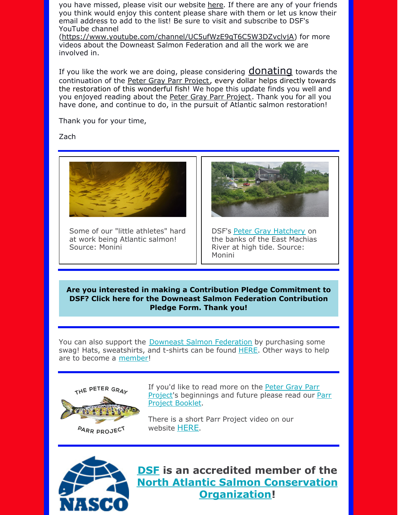you have missed, please visit our website [here](https://mainesalmonrivers.org/parr-project/peter-gray-hatchery-report/). If there are any of your friends you think would enjoy this content please share with them or let us know their email address to add to the list! Be sure to visit and subscribe to DSF's YouTube channel

[\(https://www.youtube.com/channel/UC5ufWzE9qT6C5W3DZvclvjA](https://www.youtube.com/channel/UC5ufWzE9qT6C5W3DZvclvjA)) for more videos about the Downeast Salmon Federation and all the work we are involved in.

If you like the work we are doing, please considering **[donating](https://mainesalmonrivers.org/parr-project/donate-to-the-peter-gray-parr-project/)** towards the continuation of the Peter Gray Parr [Project](https://mainesalmonrivers.org/parr-project/donate-to-the-peter-gray-parr-project/), every dollar helps directly towards the restoration of this wonderful fish! We hope this update finds you well and you enjoyed reading about the Peter Gray Parr [Project](https://mainesalmonrivers.org/parr-project/peter-gray-parr-project/). Thank you for all you have done, and continue to do, in the pursuit of Atlantic salmon restoration!

Thank you for your time,

Zach



Some of our "little athletes" hard at work being Atlantic salmon! Source: Monini



DSF's Peter Gray [Hatchery](https://mainesalmonrivers.org/parr-project/peter-gray-parr-project/) on the banks of the East Machias River at high tide. Source: Monini

**Are you interested in making a Contribution Pledge [Commitment](https://files.constantcontact.com/6c7a16d6501/5fc13ada-9396-4b48-81a1-cd7f30f9ee0c.docx) to DSF? Click here for the Downeast Salmon Federation Contribution Pledge Form. Thank you!**

You can also support the Downeast Salmon [Federation](http://www.mainesalmonrivers.org) by purchasing some swag! Hats, sweatshirts, and t-shirts can be found [HERE](https://mainesalmonrivers.org/shop/). Other ways to help are to become a [member](https://mainesalmonrivers.org/donate/)!



If you'd like to read more on the Peter Gray Parr Project's [beginnings](https://mainesalmonrivers.org/wp-content/uploads/2015/01/The-Peter-Gray-Parr-Project.pdf) and future please read our Parr Project Booklet.

There is a short Parr Project video on our website [HERE](https://mainesalmonrivers.org/parr-project/peter-gray-parr-project/).



**[DSF](http://mainesalmonrivers.org) is an accredited member of the North Atlantic Salmon Conservation [Organization!](http://www.nasco.int/)**